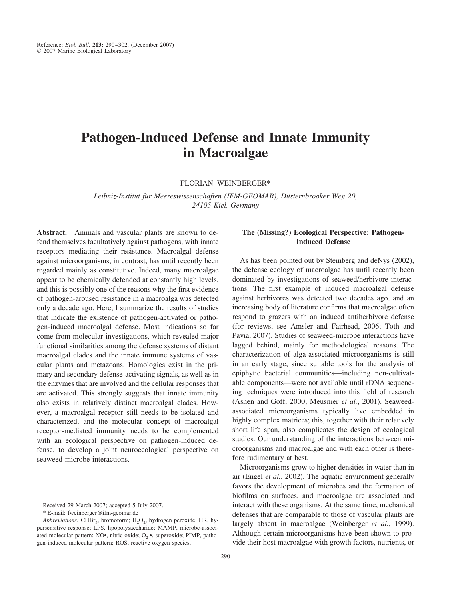# **Pathogen-Induced Defense and Innate Immunity in Macroalgae**

FLORIAN WEINBERGER\*

*Leibniz-Institut fu¨r Meereswissenschaften (IFM-GEOMAR), Du¨sternbrooker Weg 20, 24105 Kiel, Germany*

**Abstract.** Animals and vascular plants are known to defend themselves facultatively against pathogens, with innate receptors mediating their resistance. Macroalgal defense against microorganisms, in contrast, has until recently been regarded mainly as constitutive. Indeed, many macroalgae appear to be chemically defended at constantly high levels, and this is possibly one of the reasons why the first evidence of pathogen-aroused resistance in a macroalga was detected only a decade ago. Here, I summarize the results of studies that indicate the existence of pathogen-activated or pathogen-induced macroalgal defense. Most indications so far come from molecular investigations, which revealed major functional similarities among the defense systems of distant macroalgal clades and the innate immune systems of vascular plants and metazoans. Homologies exist in the primary and secondary defense-activating signals, as well as in the enzymes that are involved and the cellular responses that are activated. This strongly suggests that innate immunity also exists in relatively distinct macroalgal clades. However, a macroalgal receptor still needs to be isolated and characterized, and the molecular concept of macroalgal receptor-mediated immunity needs to be complemented with an ecological perspective on pathogen-induced defense, to develop a joint neuroecological perspective on seaweed-microbe interactions.

Received 29 March 2007; accepted 5 July 2007.

\* E-mail: fweinberger@ifm-geomar.de

*Abbreviations:* CHBr<sub>3</sub>, bromoform; H<sub>2</sub>O<sub>2</sub>, hydrogen peroxide; HR, hypersensitive response; LPS, lipopolysaccharide; MAMP, microbe-associated molecular pattern; NO•, nitric oxide; O<sub>2</sub><sup>•</sup>, superoxide; PIMP, pathogen-induced molecular pattern; ROS, reactive oxygen species.

## **The (Missing?) Ecological Perspective: Pathogen-Induced Defense**

As has been pointed out by Steinberg and deNys (2002), the defense ecology of macroalgae has until recently been dominated by investigations of seaweed/herbivore interactions. The first example of induced macroalgal defense against herbivores was detected two decades ago, and an increasing body of literature confirms that macroalgae often respond to grazers with an induced antiherbivore defense (for reviews, see Amsler and Fairhead, 2006; Toth and Pavia, 2007). Studies of seaweed-microbe interactions have lagged behind, mainly for methodological reasons. The characterization of alga-associated microorganisms is still in an early stage, since suitable tools for the analysis of epiphytic bacterial communities—including non-cultivatable components—were not available until rDNA sequencing techniques were introduced into this field of research (Ashen and Goff, 2000; Meusnier *et al.*, 2001). Seaweedassociated microorganisms typically live embedded in highly complex matrices; this, together with their relatively short life span, also complicates the design of ecological studies. Our understanding of the interactions between microorganisms and macroalgae and with each other is therefore rudimentary at best.

Microorganisms grow to higher densities in water than in air (Engel *et al.*, 2002). The aquatic environment generally favors the development of microbes and the formation of biofilms on surfaces, and macroalgae are associated and interact with these organisms. At the same time, mechanical defenses that are comparable to those of vascular plants are largely absent in macroalgae (Weinberger *et al.*, 1999). Although certain microorganisms have been shown to provide their host macroalgae with growth factors, nutrients, or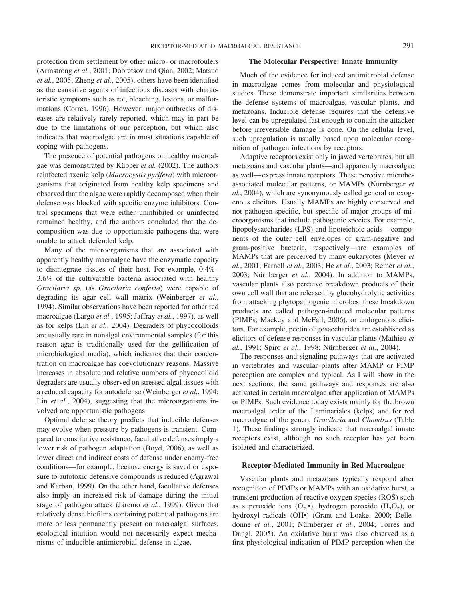protection from settlement by other micro- or macrofoulers (Armstrong *et al.*, 2001; Dobretsov and Qian, 2002; Matsuo *et al.*, 2005; Zheng *et al.*, 2005), others have been identified as the causative agents of infectious diseases with characteristic symptoms such as rot, bleaching, lesions, or malformations (Correa, 1996). However, major outbreaks of diseases are relatively rarely reported, which may in part be due to the limitations of our perception, but which also indicates that macroalgae are in most situations capable of coping with pathogens.

The presence of potential pathogens on healthy macroalgae was demonstrated by Küpper *et al.* (2002). The authors reinfected axenic kelp (*Macrocystis pyrifera*) with microorganisms that originated from healthy kelp specimens and observed that the algae were rapidly decomposed when their defense was blocked with specific enzyme inhibitors. Control specimens that were either uninhibited or uninfected remained healthy, and the authors concluded that the decomposition was due to opportunistic pathogens that were unable to attack defended kelp.

Many of the microorganisms that are associated with apparently healthy macroalgae have the enzymatic capacity to disintegrate tissues of their host. For example, 0.4%– 3.6% of the cultivatable bacteria associated with healthy *Gracilaria sp.* (as *Gracilaria conferta*) were capable of degrading its agar cell wall matrix (Weinberger *et al.*, 1994). Similar observations have been reported for other red macroalgae (Largo *et al.*, 1995; Jaffray *et al.*, 1997), as well as for kelps (Lin *et al.*, 2004). Degraders of phycocolloids are usually rare in nonalgal environmental samples (for this reason agar is traditionally used for the gellification of microbiological media), which indicates that their concentration on macroalgae has coevolutionary reasons. Massive increases in absolute and relative numbers of phycocolloid degraders are usually observed on stressed algal tissues with a reduced capacity for autodefense (Weinberger *et al.*, 1994; Lin *et al.*, 2004), suggesting that the microorganisms involved are opportunistic pathogens.

Optimal defense theory predicts that inducible defenses may evolve when pressure by pathogens is transient. Compared to constitutive resistance, facultative defenses imply a lower risk of pathogen adaptation (Boyd, 2006), as well as lower direct and indirect costs of defense under enemy-free conditions—for example, because energy is saved or exposure to autotoxic defensive compounds is reduced (Agrawal and Karban, 1999). On the other hand, facultative defenses also imply an increased risk of damage during the initial stage of pathogen attack (Järemo *et al.*, 1999). Given that relatively dense biofilms containing potential pathogens are more or less permanently present on macroalgal surfaces, ecological intuition would not necessarily expect mechanisms of inducible antimicrobial defense in algae.

## **The Molecular Perspective: Innate Immunity**

Much of the evidence for induced antimicrobial defense in macroalgae comes from molecular and physiological studies. These demonstrate important similarities between the defense systems of macroalgae, vascular plants, and metazoans. Inducible defense requires that the defensive level can be upregulated fast enough to contain the attacker before irreversible damage is done. On the cellular level, such upregulation is usually based upon molecular recognition of pathogen infections by receptors.

Adaptive receptors exist only in jawed vertebrates, but all metazoans and vascular plants—and apparently macroalgae as well— express innate receptors. These perceive microbeassociated molecular patterns, or MAMPs (Nürnberger et *al.*, 2004), which are synonymously called general or exogenous elicitors. Usually MAMPs are highly conserved and not pathogen-specific, but specific of major groups of microorganisms that include pathogenic species. For example, lipopolysaccharides (LPS) and lipoteichoic acids— components of the outer cell envelopes of gram-negative and gram-positive bacteria, respectively—are examples of MAMPs that are perceived by many eukaryotes (Meyer *et al.*, 2001; Farnell *et al.*, 2003; He *et al.*, 2003; Remer *et al.*, 2003; Nürnberger et al., 2004). In addition to MAMPs, vascular plants also perceive breakdown products of their own cell wall that are released by glucohydrolytic activities from attacking phytopathogenic microbes; these breakdown products are called pathogen-induced molecular patterns (PIMPs; Mackey and McFall, 2006), or endogenous elicitors. For example, pectin oligosaccharides are established as elicitors of defense responses in vascular plants (Mathieu *et al.*, 1991; Spiro *et al.*, 1998; Nürnberger *et al.*, 2004).

The responses and signaling pathways that are activated in vertebrates and vascular plants after MAMP or PIMP perception are complex and typical. As I will show in the next sections, the same pathways and responses are also activated in certain macroalgae after application of MAMPs or PIMPs. Such evidence today exists mainly for the brown macroalgal order of the Laminariales (kelps) and for red macroalgae of the genera *Gracilaria* and *Chondrus* (Table 1). These findings strongly indicate that macroalgal innate receptors exist, although no such receptor has yet been isolated and characterized.

## **Receptor-Mediated Immunity in Red Macroalgae**

Vascular plants and metazoans typically respond after recognition of PIMPs or MAMPs with an oxidative burst, a transient production of reactive oxygen species (ROS) such as superoxide ions  $(O_2^{\bullet})$ , hydrogen peroxide  $(H_2O_2)$ , or hydroxyl radicals (OH•) (Grant and Loake, 2000; Delledonne *et al.*, 2001; Nürnberger *et al.*, 2004; Torres and Dangl, 2005). An oxidative burst was also observed as a first physiological indication of PIMP perception when the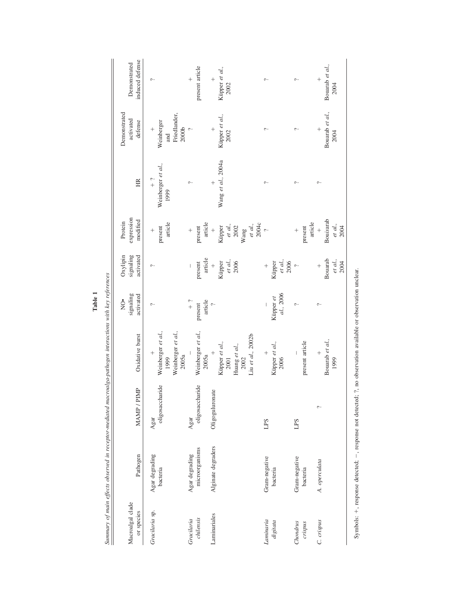| Macroalgal clade<br>or species |                    |                 |                             | 。<br>2                                        | Oxylipin               | Protein                |                            | Demonstrated                      |                                 |
|--------------------------------|--------------------|-----------------|-----------------------------|-----------------------------------------------|------------------------|------------------------|----------------------------|-----------------------------------|---------------------------------|
|                                | Pathogen           | MAMP / PIMP     | Oxidative burst             | signaling<br>activated                        | signaling<br>activated | expression<br>modified | HR                         | activated<br>defense              | induced defense<br>Demonstrated |
| Gracilaria sp.                 | Agar degrading     | Agar            | $^{+}$                      | $\sim$                                        | ç.                     | $^{+}$                 | $\hat{ }$ +                | $^{+}$                            | $\sim$                          |
|                                | bacteria           | oligosaccharide | Weinberger et al.,<br>1999  |                                               |                        | article<br>present     | Weinberger et al.,<br>1999 | Weinberger<br>and                 |                                 |
|                                |                    |                 | Weinberger et al.,<br>2005a |                                               |                        |                        |                            | Friedlander,<br>2000 <sub>b</sub> |                                 |
| Gracilaria                     | Agar degrading     | Agar            |                             | $\begin{array}{c} \n\cdot \\ + \n\end{array}$ |                        | $^{+}$                 | $\sim$                     | $\tilde{c}$                       | $^{+}$                          |
| chilensis                      | microorganisms     | oligosaccharide | Weinberger et al.,          | present                                       | present                | present                |                            |                                   | present article                 |
|                                |                    |                 | 2005a                       | article                                       | article                | article                |                            |                                   |                                 |
| Laminariales                   | Alginate degraders | Oligoguluronate |                             | $\hat{\phantom{a}}$                           | $^{+}$                 |                        | $^{+}$                     |                                   | $^{+}$                          |
|                                |                    |                 | Küpper et al.,              |                                               | Küpper                 | Küpper                 | Wang et al., 2004a         | Küpper et al.,                    | Küpper et al.,                  |
|                                |                    |                 | 2001                        |                                               | et al.,                | et al.,                |                            | 2002                              | 2002                            |
|                                |                    |                 | Huang et al.,               |                                               | 2006                   | 2002                   |                            |                                   |                                 |
|                                |                    |                 | 2002                        |                                               |                        | Wang                   |                            |                                   |                                 |
|                                |                    |                 | Liu et al., 2002b           |                                               |                        | et al.,<br>2004c       |                            |                                   |                                 |
| Laminaria                      | Gram-negative      | <b>CHT</b>      |                             |                                               | $^{+}$                 | $\ddot{\phantom{0}}$   | $\sim$                     | $\hat{\phantom{a}}$               | ç.                              |
|                                |                    |                 |                             |                                               |                        |                        |                            |                                   |                                 |
| digitata                       | bacteria           |                 | Küpper et al.,<br>2006      | Küpper et                                     | Küpper                 |                        |                            |                                   |                                 |
|                                |                    |                 |                             | al., 2006                                     | et al.,<br>2006        |                        |                            |                                   |                                 |
| Chondrus                       | Gram-negative      | <b>CHT</b>      |                             | c.                                            | $\sim$                 | $^{+}$                 | $\tilde{\phantom{0}}$      | $\hat{\phantom{a}}$               | ç.                              |
| crispus                        | bacteria           |                 | present article             |                                               |                        | present                |                            |                                   |                                 |
|                                |                    |                 |                             |                                               |                        | article                |                            |                                   |                                 |
| C. crispus                     | A. operculata      | $\sim$          | $^{+}$                      | c.                                            | $^{+}$                 | $+$                    | c.                         | $^{+}$                            | $^{+}$                          |
|                                |                    |                 | Bouarab et al.,             |                                               | Bouarab                | Bouisarab              |                            | Bouarab et al.,                   | Bouarab et al.,                 |
|                                |                    |                 | 1999                        |                                               | et al.,                | et al.,                |                            | 2004                              | 2004                            |
|                                |                    |                 |                             |                                               | 2004                   | 2004                   |                            |                                   |                                 |

**Table 1**

Symbols: +, response detected; -, response not detected; ?, no observation available or observation unclear. , response not detected; ?, no observation available or observation unclear.Symbols: +, response detected; -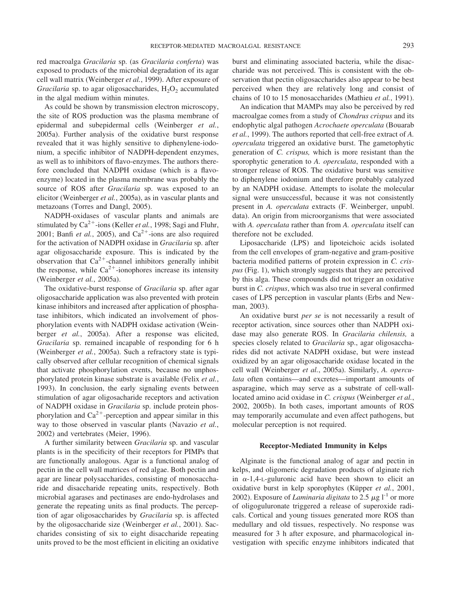red macroalga *Gracilaria* sp. (as *Gracilaria conferta*) was exposed to products of the microbial degradation of its agar cell wall matrix (Weinberger *et al.*, 1999). After exposure of *Gracilaria* sp. to agar oligosaccharides,  $H_2O_2$  accumulated in the algal medium within minutes.

As could be shown by transmission electron microscopy, the site of ROS production was the plasma membrane of epidermal and subepidermal cells (Weinberger *et al.*, 2005a). Further analysis of the oxidative burst response revealed that it was highly sensitive to diphenylene-iodonium, a specific inhibitor of NADPH-dependent enzymes, as well as to inhibitors of flavo-enzymes. The authors therefore concluded that NADPH oxidase (which is a flavoenzyme) located in the plasma membrane was probably the source of ROS after *Gracilaria* sp. was exposed to an elicitor (Weinberger *et al.*, 2005a), as in vascular plants and metazoans (Torres and Dangl, 2005).

NADPH-oxidases of vascular plants and animals are stimulated by  $Ca^{2+}$ -ions (Keller *et al.*, 1998; Sagi and Fluhr, 2001; Banfi *et al.*, 2005), and  $Ca^{2+}$ -ions are also required for the activation of NADPH oxidase in *Gracilaria* sp. after agar oligosaccharide exposure. This is indicated by the observation that  $Ca^{2+}$ -channel inhibitors generally inhibit the response, while  $Ca^{2+}$ -ionophores increase its intensity (Weinberger *et al.*, 2005a).

The oxidative-burst response of *Gracilaria* sp. after agar oligosaccharide application was also prevented with protein kinase inhibitors and increased after application of phosphatase inhibitors, which indicated an involvement of phosphorylation events with NADPH oxidase activation (Weinberger *et al.*, 2005a). After a response was elicited, *Gracilaria* sp. remained incapable of responding for 6 h (Weinberger *et al.*, 2005a). Such a refractory state is typically observed after cellular recognition of chemical signals that activate phosphorylation events, because no unphosphorylated protein kinase substrate is available (Felix *et al.*, 1993). In conclusion, the early signaling events between stimulation of agar oligosacharide receptors and activation of NADPH oxidase in *Gracilaria* sp. include protein phosphorylation and  $Ca^{2+}$ -perception and appear similar in this way to those observed in vascular plants (Navazio *et al.*, 2002) and vertebrates (Meier, 1996).

A further similarity between *Gracilaria* sp. and vascular plants is in the specificity of their receptors for PIMPs that are functionally analogous. Agar is a functional analog of pectin in the cell wall matrices of red algae. Both pectin and agar are linear polysaccharides, consisting of monosaccharide and disaccharide repeating units, respectively. Both microbial agarases and pectinases are endo-hydrolases and generate the repeating units as final products. The perception of agar oligosaccharides by *Gracilaria* sp. is affected by the oligosaccharide size (Weinberger *et al.*, 2001). Saccharides consisting of six to eight disaccharide repeating units proved to be the most efficient in eliciting an oxidative burst and eliminating associated bacteria, while the disaccharide was not perceived. This is consistent with the observation that pectin oligosaccharides also appear to be best perceived when they are relatively long and consist of chains of 10 to 15 monosaccharides (Mathieu *et al.*, 1991).

An indication that MAMPs may also be perceived by red macroalgae comes from a study of *Chondrus crispus* and its endophytic algal pathogen *Acrochaete operculata* (Bouarab *et al.*, 1999). The authors reported that cell-free extract of *A. operculata* triggered an oxidative burst. The gametophytic generation of *C. crispus,* which is more resistant than the sporophytic generation to *A. operculata*, responded with a stronger release of ROS. The oxidative burst was sensitive to diphenylene iodonium and therefore probably catalyzed by an NADPH oxidase. Attempts to isolate the molecular signal were unsuccessful, because it was not consistently present in *A. operculata* extracts (F. Weinberger, unpubl. data). An origin from microorganisms that were associated with *A. operculata* rather than from *A. operculata* itself can therefore not be excluded.

Liposaccharide (LPS) and lipoteichoic acids isolated from the cell envelopes of gram-negative and gram-positive bacteria modified patterns of protein expression in *C. crispus* (Fig. 1), which strongly suggests that they are perceived by this alga. These compounds did not trigger an oxidative burst in *C. crispus*, which was also true in several confirmed cases of LPS perception in vascular plants (Erbs and Newman, 2003).

An oxidative burst *per se* is not necessarily a result of receptor activation, since sources other than NADPH oxidase may also generate ROS. In *Gracilaria chilensis,* a species closely related to *Gracilaria* sp., agar oligosaccharides did not activate NADPH oxidase, but were instead oxidized by an agar oligosaccharide oxidase located in the cell wall (Weinberger *et al.*, 2005a). Similarly, *A. operculata* often contains—and excretes—important amounts of asparagine, which may serve as a substrate of cell-walllocated amino acid oxidase in *C. crispus* (Weinberger *et al.*, 2002, 2005b). In both cases, important amounts of ROS may temporarily accumulate and even affect pathogens, but molecular perception is not required.

#### **Receptor-Mediated Immunity in Kelps**

Alginate is the functional analog of agar and pectin in kelps, and oligomeric degradation products of alginate rich in  $\alpha$ -1,4-L-guluronic acid have been shown to elicit an oxidative burst in kelp sporophytes (Küpper et al., 2001, 2002). Exposure of *Laminaria digitata* to 2.5  $\mu$ g l<sup>-1</sup> or more of oligoguluronate triggered a release of superoxide radicals. Cortical and young tissues generated more ROS than medullary and old tissues, respectively. No response was measured for 3 h after exposure, and pharmacological investigation with specific enzyme inhibitors indicated that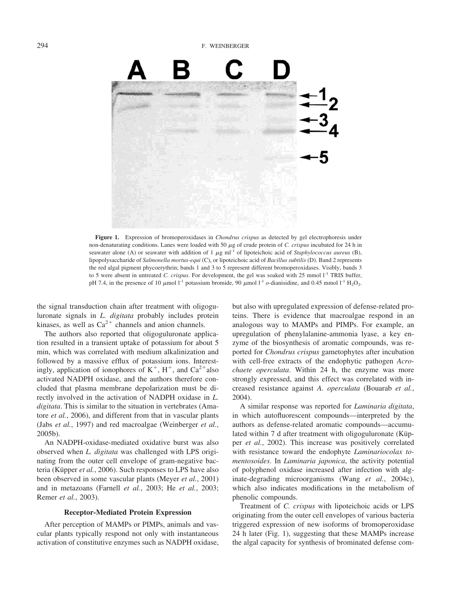294 F. WEINBERGER



**Figure 1.** Expression of bromoperoxidases in *Chondrus crispus* as detected by gel electrophoresis under non-denaturating conditions. Lanes were loaded with 50  $\mu$ g of crude protein of *C. crispus* incubated for 24 h in seawater alone (A) or seawater with addition of 1  $\mu$ g ml<sup>-1</sup> of lipoteichoic acid of *Staphylococcus aureus* (B), lipopolysaccharide of *Salmonella mortus-equi* (C), or lipoteichoic acid of *Bacillus subtilis* (D). Band 2 represents the red algal pigment phycoerythrin; bands 1 and 3 to 5 represent different bromoperoxidases. Visibly, bands 3 to 5 were absent in untreated *C. crispus*. For development, the gel was soaked with 25 mmol l<sup>-1</sup> TRIS buffer, pH 7.4, in the presence of 10  $\mu$ mol l<sup>-1</sup> potassium bromide, 90  $\mu$ mol l<sup>-1</sup> *o*-dianisidine, and 0.45 mmol l<sup>-1</sup> H<sub>2</sub>O<sub>2</sub>.

the signal transduction chain after treatment with oligoguluronate signals in *L. digitata* probably includes protein kinases, as well as  $Ca^{2+}$  channels and anion channels.

The authors also reported that oligoguluronate application resulted in a transient uptake of potassium for about 5 min, which was correlated with medium alkalinization and followed by a massive efflux of potassium ions. Interestingly, application of ionophores of  $K^+$ ,  $H^+$ , and  $Ca^{2+}$ also activated NADPH oxidase, and the authors therefore concluded that plasma membrane depolarization must be directly involved in the activation of NADPH oxidase in *L. digitata*. This is similar to the situation in vertebrates (Amatore *et al.*, 2006), and different from that in vascular plants (Jabs *et al.*, 1997) and red macroalgae (Weinberger *et al.*, 2005b).

An NADPH-oxidase-mediated oxidative burst was also observed when *L. digitata* was challenged with LPS originating from the outer cell envelope of gram-negative bacteria (Küpper *et al.*, 2006). Such responses to LPS have also been observed in some vascular plants (Meyer *et al.*, 2001) and in metazoans (Farnell *et al.*, 2003; He *et al.*, 2003; Remer *et al.*, 2003).

#### **Receptor-Mediated Protein Expression**

After perception of MAMPs or PIMPs, animals and vascular plants typically respond not only with instantaneous activation of constitutive enzymes such as NADPH oxidase,

but also with upregulated expression of defense-related proteins. There is evidence that macroalgae respond in an analogous way to MAMPs and PIMPs. For example, an upregulation of phenylalanine-ammonia lyase, a key enzyme of the biosynthesis of aromatic compounds, was reported for *Chondrus crispus* gametophytes after incubation with cell-free extracts of the endophytic pathogen *Acrochaete operculata*. Within 24 h, the enzyme was more strongly expressed, and this effect was correlated with increased resistance against *A. operculata* (Bouarab *et al.*, 2004).

A similar response was reported for *Laminaria digitata*, in which autofluorescent compounds—interpreted by the authors as defense-related aromatic compounds—accumulated within 7 d after treatment with oligoguluronate (Küpper *et al.*, 2002). This increase was positively correlated with resistance toward the endophyte *Laminariocolax tomentosoides*. In *Laminaria japonica*, the activity potential of polyphenol oxidase increased after infection with alginate-degrading microorganisms (Wang *et al.*, 2004c), which also indicates modifications in the metabolism of phenolic compounds.

Treatment of *C. crispus* with lipoteichoic acids or LPS originating from the outer cell envelopes of various bacteria triggered expression of new isoforms of bromoperoxidase 24 h later (Fig. 1), suggesting that these MAMPs increase the algal capacity for synthesis of brominated defense com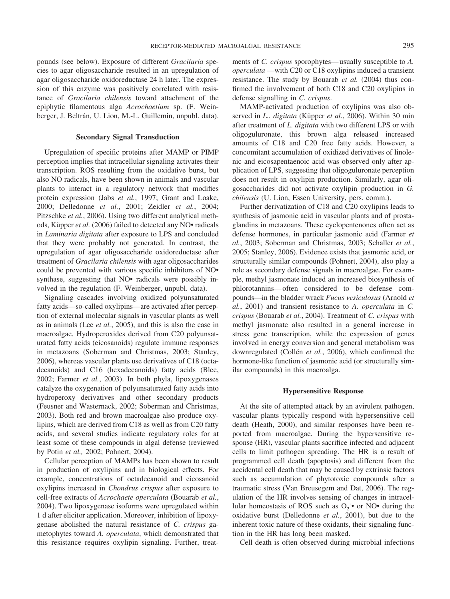pounds (see below). Exposure of different *Gracilaria* species to agar oligosaccharide resulted in an upregulation of agar oligosaccharide oxidoreductase 24 h later. The expression of this enzyme was positively correlated with resistance of *Gracilaria chilensis* toward attachment of the epiphytic filamentous alga *Acrochaetium* sp. (F. Weinberger, J. Beltrán, U. Lion, M.-L. Guillemin, unpubl. data).

#### **Secondary Signal Transduction**

Upregulation of specific proteins after MAMP or PIMP perception implies that intracellular signaling activates their transcription. ROS resulting from the oxidative burst, but also NO radicals, have been shown in animals and vascular plants to interact in a regulatory network that modifies protein expression (Jabs *et al.*, 1997; Grant and Loake, 2000; Delledonne *et al.*, 2001; Zeidler *et al.*, 2004; Pitzschke *et al.*, 2006). Using two different analytical methods, Küpper *et al.* (2006) failed to detected any NO• radicals in *Laminaria digitata* after exposure to LPS and concluded that they were probably not generated. In contrast, the upregulation of agar oligosaccharide oxidoreductase after treatment of *Gracilaria chilensis* with agar oligosaccharides could be prevented with various specific inhibitors of NO• synthase, suggesting that NO• radicals were possibly involved in the regulation (F. Weinberger, unpubl. data).

Signaling cascades involving oxidized polyunsaturated fatty acids—so-called oxylipins—are activated after perception of external molecular signals in vascular plants as well as in animals (Lee *et al.*, 2005), and this is also the case in macroalgae. Hydroperoxides derived from C20 polyunsaturated fatty acids (eicosanoids) regulate immune responses in metazoans (Soberman and Christmas, 2003; Stanley, 2006), whereas vascular plants use derivatives of C18 (octadecanoids) and C16 (hexadecanoids) fatty acids (Blee, 2002; Farmer *et al.*, 2003). In both phyla, lipoxygenases catalyze the oxygenation of polyunsaturated fatty acids into hydroperoxy derivatives and other secondary products (Feusner and Wasternack, 2002; Soberman and Christmas, 2003). Both red and brown macroalgae also produce oxylipins, which are derived from C18 as well as from C20 fatty acids, and several studies indicate regulatory roles for at least some of these compounds in algal defense (reviewed by Potin *et al.,* 2002; Pohnert, 2004).

Cellular perception of MAMPs has been shown to result in production of oxylipins and in biological effects. For example, concentrations of octadecanoid and eicosanoid oxylipins increased in *Chondrus crispus* after exposure to cell-free extracts of *Acrochaete operculata* (Bouarab *et al.*, 2004). Two lipoxygenase isoforms were upregulated within 1 d after elicitor application. Moreover, inhibition of lipoxygenase abolished the natural resistance of *C. crispus* gametophytes toward *A. operculata*, which demonstrated that this resistance requires oxylipin signaling. Further, treatments of *C. crispus* sporophytes— usually susceptible to *A. operculata* —with C20 or C18 oxylipins induced a transient resistance. The study by Bouarab *et al.* (2004) thus confirmed the involvement of both C18 and C20 oxylipins in defense signalling in *C. crispus*.

MAMP-activated production of oxylipins was also observed in *L.. digitata* (Küpper *et al.*, 2006). Within 30 min after treatment of *L. digitata* with two different LPS or with oligoguluronate, this brown alga released increased amounts of C18 and C20 free fatty acids. However, a concomitant accumulation of oxidized derivatives of linolenic and eicosapentaenoic acid was observed only after application of LPS, suggesting that oligoguluronate perception does not result in oxylipin production. Similarly, agar oligosaccharides did not activate oxylipin production in *G. chilensis* (U. Lion, Essen University, pers. comm.).

Further derivatization of C18 and C20 oxylipins leads to synthesis of jasmonic acid in vascular plants and of prostaglandins in metazoans. These cyclopentenones often act as defense hormones, in particular jasmonic acid (Farmer *et al.*, 2003; Soberman and Christmas, 2003; Schaller *et al.*, 2005; Stanley, 2006). Evidence exists that jasmonic acid, or structurally similar compounds (Pohnert, 2004), also play a role as secondary defense signals in macroalgae. For example, methyl jasmonate induced an increased biosynthesis of phlorotannins— often considered to be defense compounds—in the bladder wrack *Fucus vesiculosus* (Arnold *et al.*, 2001) and transient resistance to *A. operculata* in *C. crispus* (Bouarab *et al.*, 2004). Treatment of *C. crispus* with methyl jasmonate also resulted in a general increase in stress gene transcription, while the expression of genes involved in energy conversion and general metabolism was downregulated (Collén et al., 2006), which confirmed the hormone-like function of jasmonic acid (or structurally similar compounds) in this macroalga.

## **Hypersensitive Response**

At the site of attempted attack by an avirulent pathogen, vascular plants typically respond with hypersensitive cell death (Heath, 2000), and similar responses have been reported from macroalgae. During the hypersensitive response (HR), vascular plants sacrifice infected and adjacent cells to limit pathogen spreading. The HR is a result of programmed cell death (apoptosis) and different from the accidental cell death that may be caused by extrinsic factors such as accumulation of phytotoxic compounds after a traumatic stress (Van Breusegem and Dat, 2006). The regulation of the HR involves sensing of changes in intracellular homeostasis of ROS such as  $O_2$  • or NO• during the oxidative burst (Delledonne *et al.*, 2001), but due to the inherent toxic nature of these oxidants, their signaling function in the HR has long been masked.

Cell death is often observed during microbial infections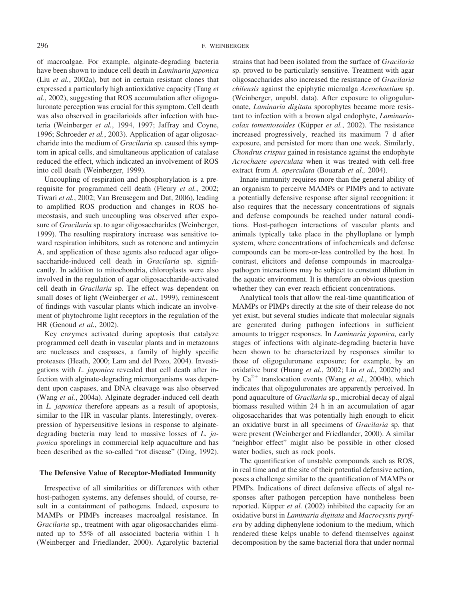of macroalgae. For example, alginate-degrading bacteria have been shown to induce cell death in *Laminaria japonica* (Liu *et al.*, 2002a), but not in certain resistant clones that expressed a particularly high antioxidative capacity (Tang *et al.*, 2002), suggesting that ROS accumulation after oligoguluronate perception was crucial for this symptom. Cell death was also observed in gracilarioids after infection with bacteria (Weinberger *et al.*, 1994, 1997; Jaffray and Coyne, 1996; Schroeder *et al.*, 2003). Application of agar oligosaccharide into the medium of *Gracilaria* sp. caused this symptom in apical cells, and simultaneous application of catalase reduced the effect, which indicated an involvement of ROS into cell death (Weinberger, 1999).

Uncoupling of respiration and phosphorylation is a prerequisite for programmed cell death (Fleury *et al.*, 2002; Tiwari *et al.*, 2002; Van Breusegem and Dat, 2006), leading to amplified ROS production and changes in ROS homeostasis, and such uncoupling was observed after exposure of *Gracilaria* sp. to agar oligosaccharides (Weinberger, 1999). The resulting respiratory increase was sensitive toward respiration inhibitors, such as rotenone and antimycin A, and application of these agents also reduced agar oligosaccharide-induced cell death in *Gracilaria* sp. significantly. In addition to mitochondria, chloroplasts were also involved in the regulation of agar oligosaccharide-activated cell death in *Gracilaria* sp. The effect was dependent on small doses of light (Weinberger *et al.*, 1999), reminescent of findings with vascular plants which indicate an involvement of phytochrome light receptors in the regulation of the HR (Genoud *et al.*, 2002).

Key enzymes activated during apoptosis that catalyze programmed cell death in vascular plants and in metazoans are nucleases and caspases, a family of highly specific proteases (Heath, 2000; Lam and del Pozo, 2004). Investigations with *L. japonica* revealed that cell death after infection with alginate-degrading microorganisms was dependent upon caspases, and DNA cleavage was also observed (Wang *et al.*, 2004a). Alginate degrader-induced cell death in *L. japonica* therefore appears as a result of apoptosis, similar to the HR in vascular plants. Interestingly, overexpression of hypersensitive lesions in response to alginatedegrading bacteria may lead to massive losses of *L. japonica* sporelings in commercial kelp aquaculture and has been described as the so-called "rot disease" (Ding, 1992).

## **The Defensive Value of Receptor-Mediated Immunity**

Irrespective of all similarities or differences with other host-pathogen systems, any defenses should, of course, result in a containment of pathogens. Indeed, exposure to MAMPs or PIMPs increases macroalgal resistance. In *Gracilaria* sp., treatment with agar oligosaccharides eliminated up to 55% of all associated bacteria within 1 h (Weinberger and Friedlander, 2000). Agarolytic bacterial

strains that had been isolated from the surface of *Gracilaria* sp. proved to be particularly sensitive. Treatment with agar oligosaccharides also increased the resistance of *Gracilaria chilensis* against the epiphytic microalga *Acrochaetium* sp. (Weinberger, unpubl. data). After exposure to oligoguluronate, *Laminaria digitata* sporophytes became more resistant to infection with a brown algal endophyte, *Laminariocolax tomentosoides* (Küpper *et al.*, 2002). The resistance increased progressively, reached its maximum 7 d after exposure, and persisted for more than one week. Similarly, *Chondrus crispus* gained in resistance against the endophyte *Acrochaete operculata* when it was treated with cell-free extract from *A. operculata* (Bouarab *et al.,* 2004).

Innate immunity requires more than the general ability of an organism to perceive MAMPs or PIMPs and to activate a potentially defensive response after signal recognition: it also requires that the necessary concentrations of signals and defense compounds be reached under natural conditions. Host-pathogen interactions of vascular plants and animals typically take place in the phylloplane or lymph system, where concentrations of infochemicals and defense compounds can be more-or-less controlled by the host. In contrast, elicitors and defense compounds in macroalgapathogen interactions may be subject to constant dilution in the aquatic environment. It is therefore an obvious question whether they can ever reach efficient concentrations.

Analytical tools that allow the real-time quantification of MAMPs or PIMPs directly at the site of their release do not yet exist, but several studies indicate that molecular signals are generated during pathogen infections in sufficient amounts to trigger responses. In *Laminaria japonica,* early stages of infections with alginate-degrading bacteria have been shown to be characterized by responses similar to those of oligoguluronane exposure; for example, by an oxidative burst (Huang *et al.*, 2002; Liu *et al.*, 2002b) and by  $Ca^{2+}$  translocation events (Wang *et al.*, 2004b), which indicates that oligoguluronates are apparently perceived. In pond aquaculture of *Gracilaria* sp., microbial decay of algal biomass resulted within 24 h in an accumulation of agar oligosaccharides that was potentially high enough to elicit an oxidative burst in all specimens of *Gracilaria* sp. that were present (Weinberger and Friedlander, 2000). A similar "neighbor effect" might also be possible in other closed water bodies, such as rock pools.

The quantification of unstable compounds such as ROS, in real time and at the site of their potential defensive action, poses a challenge similar to the quantification of MAMPs or PIMPs. Indications of direct defensive effects of algal responses after pathogen perception have nontheless been reported. Küpper *et al.* (2002) inhibited the capacity for an oxidative burst in *Laminaria digitata* and *Macrocystis pyrifera* by adding diphenylene iodonium to the medium, which rendered these kelps unable to defend themselves against decomposition by the same bacterial flora that under normal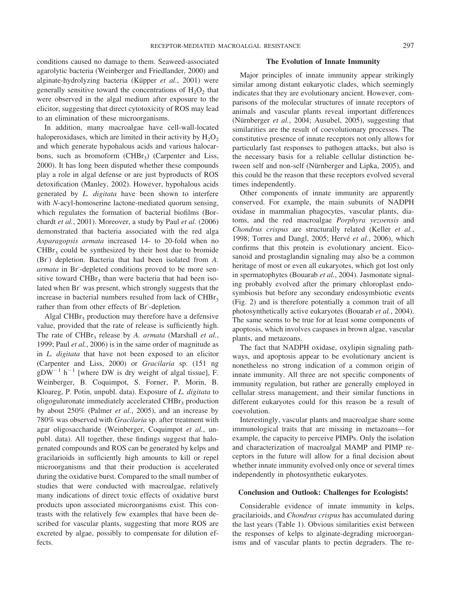conditions caused no damage to them. Seaweed-associated agarolytic bacteria (Weinberger and Friedlander, 2000) and alginate-hydrolyzing bacteria (Küpper et al., 2001) were generally sensitive toward the concentrations of  $H_2O_2$  that were observed in the algal medium after exposure to the elicitor, suggesting that direct cytotoxicity of ROS may lead to an elimination of these microorganisms.

In addition, many macroalgae have cell-wall-located haloperoxidases, which are limited in their activity by  $H_2O_2$ and which generate hypohalous acids and various halocarbons, such as bromoform  $(CHBr<sub>3</sub>)$  (Carpenter and Liss, 2000). It has long been disputed whether these compounds play a role in algal defense or are just byproducts of ROS detoxification (Manley, 2002). However, hypohalous acids generated by *L. digitata* have been shown to interfere with *N*-acyl-homoserine lactone-mediated quorum sensing, which regulates the formation of bacterial biofilms (Borchardt *et al.*, 2001). Moreover, a study by Paul *et al.* (2006) demonstrated that bacteria associated with the red alga *Asparagopsis armata* increased 14- to 20-fold when no  $CHBr<sub>3</sub>$  could be synthesized by their host due to bromide (Br- ) depletion. Bacteria that had been isolated from *A. armata* in Br- -depleted conditions proved to be more sensitive toward CHB $r<sub>3</sub>$  than were bacteria that had been isolated when Br<sup>-</sup> was present, which strongly suggests that the increase in bacterial numbers resulted from lack of  $CHBr<sub>3</sub>$ rather than from other effects of Br<sup>-</sup>-depletion.

Algal CHB $r_3$  production may therefore have a defensive value, provided that the rate of release is sufficiently high. The rate of CHBr<sub>3</sub> release by *A. armata* (Marshall *et al.*, 1999; Paul *et al.*, 2006) is in the same order of magnitude as in *L. digitata* that have not been exposed to an elicitor (Carpenter and Liss, 2000) or *Gracilaria* sp. (151 ng  $gDW^{-1}$  h<sup>-1</sup> [where DW is dry weight of algal tissue], F. Weinberger, B. Coquimpot, S. Forner, P. Morin, B. Kloareg, P. Potin, unpubl. data). Exposure of *L. digitata* to oligoguluronate immediately accelerated  $CHBr<sub>3</sub>$  production by about 250% (Palmer *et al.*, 2005), and an increase by 780% was observed with *Gracilaria* sp. after treatment with agar oligosaccharide (Weinberger, Coquimpot *et al.*, unpubl. data). All together, these findings suggest that halogenated compounds and ROS can be generated by kelps and gracilarioids in sufficiently high amounts to kill or repel microorganisms and that their production is accelerated during the oxidative burst. Compared to the small number of studies that were conducted with macroalgae, relatively many indications of direct toxic effects of oxidative burst products upon associated microorganisms exist. This contrasts with the relatively few examples that have been described for vascular plants, suggesting that more ROS are excreted by algae, possibly to compensate for dilution effects.

## **The Evolution of Innate Immunity**

Major principles of innate immunity appear strikingly similar among distant eukaryotic clades, which seemingly indicates that they are evolutionary ancient. However, comparisons of the molecular structures of innate receptors of animals and vascular plants reveal important differences (Nürnberger *et al.*, 2004; Ausubel, 2005), suggesting that similarities are the result of coevolutionary processes. The constitutive presence of innate receptors not only allows for particularly fast responses to pathogen attacks, but also is the necessary basis for a reliable cellular distinction between self and non-self (Nürnberger and Lipka, 2005), and this could be the reason that these receptors evolved several times independently.

Other components of innate immunity are apparently conserved. For example, the main subunits of NADPH oxidase in mammalian phagocytes, vascular plants, diatoms, and the red macroalgae *Porphyra yezoensis* and *Chondrus crispus* are structurally related (Keller *et al.*, 1998; Torres and Dangl, 2005; Hervé *et al.*, 2006), which confirms that this protein is evolutionary ancient. Eicosanoid and prostaglandin signaling may also be a common heritage of most or even all eukaryotes, which got lost only in spermatophytes (Bouarab *et al.*, 2004). Jasmonate signaling probably evolved after the primary chloroplast endosymbiosis but before any secondary endosymbiotic events (Fig. 2) and is therefore potentially a common trait of all photosynthetically active eukaryotes (Bouarab *et al.*, 2004). The same seems to be true for at least some components of apoptosis, which involves caspases in brown algae, vascular plants, and metazoans.

The fact that NADPH oxidase, oxylipin signaling pathways, and apoptosis appear to be evolutionary ancient is nonetheless no strong indication of a common origin of innate immunity. All three are not specific components of immunity regulation, but rather are generally employed in cellular stress management, and their similar functions in different eukaryotes could for this reason be a result of coevolution.

Interestingly, vascular plants and macroalgae share some immunological traits that are missing in metazoans—for example, the capacity to perceive PIMPs. Only the isolation and characterization of macroalgal MAMP and PIMP receptors in the future will allow for a final decision about whether innate immunity evolved only once or several times independently in photosynthetic eukaryotes.

#### **Conclusion and Outlook: Challenges for Ecologists!**

Considerable evidence of innate immunity in kelps, gracilarioids, and *Chondrus crispus* has accumulated during the last years (Table 1). Obvious similarities exist between the responses of kelps to alginate-degrading microorganisms and of vascular plants to pectin degraders. The re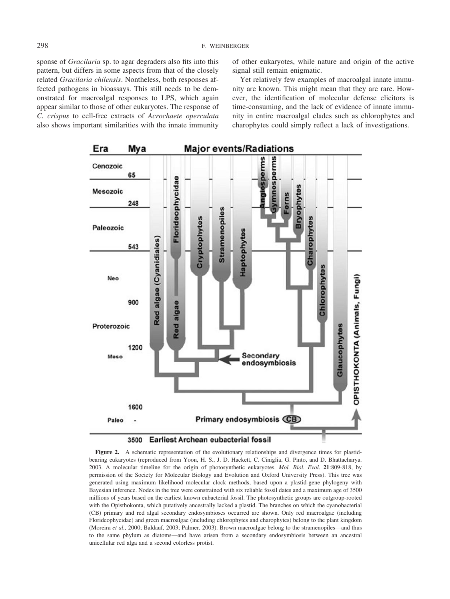sponse of *Gracilaria* sp. to agar degraders also fits into this pattern, but differs in some aspects from that of the closely related *Gracilaria chilensis*. Nontheless, both responses affected pathogens in bioassays. This still needs to be demonstrated for macroalgal responses to LPS, which again appear similar to those of other eukaryotes. The response of *C. crispus* to cell-free extracts of *Acrochaete operculata* also shows important similarities with the innate immunity

of other eukaryotes, while nature and origin of the active signal still remain enigmatic.

Yet relatively few examples of macroalgal innate immunity are known. This might mean that they are rare. However, the identification of molecular defense elicitors is time-consuming, and the lack of evidence of innate immunity in entire macroalgal clades such as chlorophytes and charophytes could simply reflect a lack of investigations.



Figure 2. A schematic representation of the evolutionary relationships and divergence times for plastidbearing eukaryotes (reproduced from Yoon, H. S., J. D. Hackett, C. Ciniglia, G. Pinto, and D. Bhattacharya. 2003. A molecular timeline for the origin of photosynthetic eukaryotes. *Mol. Biol. Evol.* **21**:809-818, by permission of the Society for Molecular Biology and Evolution and Oxford University Press). This tree was generated using maximum likelihood molecular clock methods, based upon a plastid-gene phylogeny with Bayesian inference. Nodes in the tree were constrained with six reliable fossil dates and a maximum age of 3500 millions of years based on the earliest known eubacterial fossil. The photosynthetic groups are outgroup-rooted with the Opisthokonta, which putatively ancestrally lacked a plastid. The branches on which the cyanobacterial (CB) primary and red algal secondary endosymbioses occurred are shown. Only red macroalgae (including Florideophycidae) and green macroalgae (including chlorophytes and charophytes) belong to the plant kingdom (Moreira *et al.,* 2000; Baldauf, 2003; Palmer, 2003). Brown macroalgae belong to the stramenopiles—and thus to the same phylum as diatoms—and have arisen from a secondary endosymbiosis between an ancestral unicellular red alga and a second colorless protist.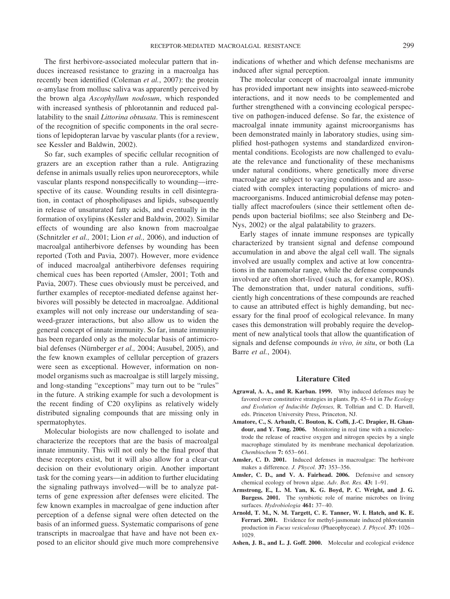The first herbivore-associated molecular pattern that induces increased resistance to grazing in a macroalga has recently been identified (Coleman *et al.*, 2007): the protein  $\alpha$ -amylase from mollusc saliva was apparently perceived by the brown alga *Ascophyllum nodosum*, which responded with increased synthesis of phlorotannin and reduced pallatability to the snail *Littorina obtusata*. This is reminescent of the recognition of specific components in the oral secretions of lepidopteran larvae by vascular plants (for a review, see Kessler and Baldwin, 2002).

So far, such examples of specific cellular recognition of grazers are an exception rather than a rule. Antigrazing defense in animals usually relies upon neuroreceptors, while vascular plants respond nonspecifically to wounding—irrespective of its cause. Wounding results in cell disintegration, in contact of phospholipases and lipids, subsequently in release of unsaturated fatty acids, and eventually in the formation of oxylipins (Kessler and Baldwin, 2002). Similar effects of wounding are also known from macroalgae (Schnitzler *et al.,* 2001; Lion *et al.,* 2006), and induction of macroalgal antiherbivore defenses by wounding has been reported (Toth and Pavia, 2007). However, more evidence of induced macroalgal antiherbivore defenses requiring chemical cues has been reported (Amsler, 2001; Toth and Pavia, 2007). These cues obviously must be perceived, and further examples of receptor-mediated defense against herbivores will possibly be detected in macroalgae. Additional examples will not only increase our understanding of seaweed-grazer interactions, but also allow us to widen the general concept of innate immunity. So far, innate immunity has been regarded only as the molecular basis of antimicrobial defenses (Nürnberger et al., 2004; Ausubel, 2005), and the few known examples of cellular perception of grazers were seen as exceptional. However, information on nonmodel organisms such as macroalgae is still largely missing, and long-standing "exceptions" may turn out to be "rules" in the future. A striking example for such a devolopment is the recent finding of C20 oxylipins as relatively widely distributed signaling compounds that are missing only in spermatophytes.

Molecular biologists are now challenged to isolate and characterize the receptors that are the basis of macroalgal innate immunity. This will not only be the final proof that these receptors exist, but it will also allow for a clear-cut decision on their evolutionary origin. Another important task for the coming years—in addition to further elucidating the signaling pathways involved—will be to analyze patterns of gene expression after defenses were elicited. The few known examples in macroalgae of gene induction after perception of a defense signal were often detected on the basis of an informed guess. Systematic comparisons of gene transcripts in macroalgae that have and have not been exposed to an elicitor should give much more comprehensive

indications of whether and which defense mechanisms are induced after signal perception.

The molecular concept of macroalgal innate immunity has provided important new insights into seaweed-microbe interactions, and it now needs to be complemented and further strengthened with a convincing ecological perspective on pathogen-induced defense. So far, the existence of macroalgal innate immunity against microorganisms has been demonstrated mainly in laboratory studies, using simplified host-pathogen systems and standardized environmental conditions. Ecologists are now challenged to evaluate the relevance and functionality of these mechanisms under natural conditions, where genetically more diverse macroalgae are subject to varying conditions and are associated with complex interacting populations of micro- and macroorganisms. Induced antimicrobial defense may potentially affect macrofoulers (since their settlement often depends upon bacterial biofilms; see also Steinberg and De-Nys, 2002) or the algal palatability to grazers.

Early stages of innate immune responses are typically characterized by transient signal and defense compound accumulation in and above the algal cell wall. The signals involved are usually complex and active at low concentrations in the nanomolar range, while the defense compounds involved are often short-lived (such as, for example, ROS). The demonstration that, under natural conditions, sufficiently high concentrations of these compounds are reached to cause an attributed effect is highly demanding, but necessary for the final proof of ecological relevance. In many cases this demonstration will probably require the development of new analytical tools that allow the quantification of signals and defense compounds *in vivo, in situ*, or both (La Barre *et al.*, 2004).

#### **Literature Cited**

- **Agrawal, A. A., and R. Karban. 1999.** Why induced defenses may be favored over constitutive strategies in plants. Pp. 45–61 in *The Ecology and Evolution of Inducible Defenses,* R. Tollrian and C. D. Harvell, eds. Princeton University Press, Princeton, NJ.
- **Amatore, C., S. Arbault, C. Bouton, K. Coffi, J.-C. Drapier, H. Ghandour, and Y. Tong. 2006.** Monitoring in real time with a microelectrode the release of reactive oxygen and nitrogen species by a single macrophage stimulated by its membrane mechanical depolarization. *Chembiochem* **7:** 653– 661.
- **Amsler, C. D. 2001.** Induced defenses in macroalgae: The herbivore makes a difference. *J. Phycol.* **37:** 353–356.
- **Amsler, C. D., and V. A. Fairhead. 2006.** Defensive and sensory chemical ecology of brown algae. *Adv. Bot. Res.* **43:** 1–91.
- **Armstrong, E., L. M. Yan, K. G. Boyd, P. C. Wright, and J. G. Burgess. 2001.** The symbiotic role of marine microbes on living surfaces. *Hydrobiologia* **461:** 37– 40.
- **Arnold, T. M., N. M. Targett, C. E. Tanner, W. I. Hatch, and K. E. Ferrari. 2001.** Evidence for methyl-jasmonate induced phlorotannin production in *Fucus vesiculosus* (Phaeophyceae). *J. Phycol.* **37:** 1026 – 1029.
- **Ashen, J. B., and L. J. Goff. 2000.** Molecular and ecological evidence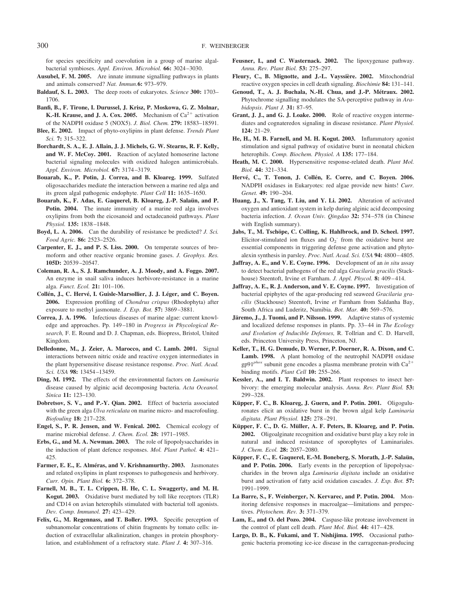for species specificity and coevolution in a group of marine algalbacterial symbioses. *Appl. Environ. Microbiol.* **66:** 3024 –3030.

- **Ausubel, F. M. 2005.** Are innate immune signalling pathways in plants and animals conserved? *Nat. Immun.***6:** 973–979.
- **Baldauf, S. L. 2003.** The deep roots of eukaryotes. *Science* **300:** 1703– 1706.
- **Banfi, B., F. Tirone, I. Durussel, J. Krisz, P. Moskowa, G. Z. Molnar, K.-H. Krause, and J. A. Cox. 2005.** Mechanism of  $Ca^{2+}$  activation of the NADPH oxidase 5 (NOX5). *J. Biol. Chem.* **279:** 18583–18591.
- **Blee, E. 2002.** Impact of phyto-oxylipins in plant defense. *Trends Plant Sci.* **7:** 315–322.
- **Borchardt, S. A., E. J. Allain, J. J. Michels, G. W. Stearns, R. F. Kelly, and W. F. McCoy. 2001.** Reaction of acylated homoserine lactone bacterial signaling molecules with oxidized halogen antimicrobials. *Appl. Environ. Microbiol.* **67:** 3174 –3179.
- **Bouarab, K., P. Potin, J. Correa, and B. Kloareg. 1999.** Sulfated oligosaccharides mediate the interaction between a marine red alga and its green algal pathogenic endophyte. *Plant Cell* **11:** 1635–1650.
- Bouarab, K., F. Adas, E. Gaquerel, B. Kloareg, J.-P. Salaün, and P. **Potin. 2004.** The innate immunity of a marine red alga involves oxylipins from both the eicosanoid and octadecanoid pathways. *Plant Physiol.* **135:** 1838 –1848.
- **Boyd, L. A. 2006.** Can the durability of resistance be predicted? *J. Sci. Food Agric.* **86:** 2523–2526.
- **Carpenter, E. J., and P. S. Liss. 2000.** On temperate sources of bromoform and other reactive organic bromine gases. *J. Geophys. Res.* **105D:** 20539 –20547.
- **Coleman, R. A., S. J. Ramchunder, A. J. Moody, and A. Foggo. 2007.** An enzyme in snail saliva induces herbivore-resistance in a marine alga. *Funct. Ecol.* **21:** 101–106.
- Collén, J., C. Hervé, I. Guisle-Marsollier, J. J. Léger, and C. Boyen. **2006.** Expression profiling of *Chondrus crispus* (Rhodophyta) after exposure to methyl jasmonate. *J. Exp. Bot.* **57:** 3869 –3881.
- **Correa, J. A. 1996.** Infectious diseases of marine algae: current knowledge and approaches. Pp. 149 –180 in *Progress in Phycological Research,* F. E. Round and D. J. Chapman, eds. Biopress, Bristol, United Kingdom.
- **Delledonne, M., J. Zeier, A. Marocco, and C. Lamb. 2001.** Signal interactions between nitric oxide and reactive oxygen intermediates in the plant hypersensitive disease resistance response. *Proc. Natl. Acad. Sci. USA* **98:** 13454 –13459.
- **Ding, M. 1992.** The effects of the environmental factors on *Laminaria* disease caused by alginic acid decomposing bacteria. *Acta Oceanol. Sinica* **11:** 123–130.
- **Dobretsov, S. V., and P.-Y. Qian. 2002.** Effect of bacteria associated with the green alga *Ulva reticulata* on marine micro- and macrofouling. *Biofouling* **18:** 217–228.
- **Engel, S., P. R. Jensen, and W. Fenical. 2002.** Chemical ecology of marine microbial defense. *J. Chem. Ecol.* **28:** 1971–1985.
- **Erbs, G., and M. A. Newman. 2003.** The role of lipopolysaccharides in the induction of plant defence responses. *Mol. Plant Pathol.* **4:** 421– 425.
- Farmer, E. E., E. Alméras, and V. Krishnamurthy. 2003. Jasmonates and related oxylipins in plant responses to pathogenesis and herbivory. *Curr. Opin. Plant Biol.* **6:** 372–378.
- **Farnell, M. B., T. L. Crippen, H. He, C. L. Swaggerty, and M. H. Kogut. 2003.** Oxidative burst mediated by toll like receptors (TLR) and CD14 on avian heterophils stimulated with bacterial toll agonists. *Dev. Comp. Immunol.* **27:** 423– 429.
- **Felix, G., M. Regennass, and T. Boller. 1993.** Specific perception of subnanomolar concentrations of chitin fragments by tomato cells: induction of extracellular alkalinization, changes in protein phosphorylation, and establishment of a refractory state. *Plant J.* **4:** 307–316.
- **Feusner, I., and C. Wasternack. 2002.** The lipoxygenase pathway. *Annu. Rev. Plant Biol.* **53:** 275–297.
- Fleury, C., B. Mignotte, and J.-L. Vayssière. 2002. Mitochondrial reactive oxygen species in cell death signaling. *Biochimie* **84:** 131–141.
- Genoud, T., A. J. Buchala, N.-H. Chua, and J.-P. Métraux. 2002. Phytochrome signalling modulates the SA-perceptive pathway in *Arabidopsis*. *Plant J.* **31:** 87–95.
- **Grant, J. J., and G. J. Loake. 2000.** Role of reactive oxygen intermediates and cognateredox signaling in disease resistance. *Plant Physiol.* **124:** 21–29.
- **He, H., M. B. Farnell, and M. H. Kogut. 2003.** Inflammatory agonist stimulation and signal pathway of oxidative burst in neonatal chicken heterophils. *Comp. Biochem. Physiol. A* **135:** 177–184.
- **Heath, M. C. 2000.** Hypersensitive response-related death. *Plant Mol. Biol.* **44:** 321–334.
- Hervé, C., T. Tonon, J. Collén, E. Corre, and C. Boyen. 2006. NADPH oxidases in Eukaryotes: red algae provide new hints! *Curr. Genet.* **49:** 190 –204.
- **Huang, J., X. Tang, T. Liu, and Y. Li. 2002.** Alteration of activated oxygen and antioxidant system in kelp during alginic acid decomposing bacteria infection. *J. Ocean Univ. Qingdao* **32:** 574 –578 (in Chinese with English summary).
- Jabs, T., M. Tschöpe, C. Colling, K. Hahlbrock, and D. Scheel. 1997. Elicitor-stimulated ion fluxes and  $O_2$ <sup>-</sup> from the oxidative burst are essential components in triggering defense gene activation and phytoalexin synthesis in parsley. *Proc. Natl. Acad. Sci. USA* **94:** 4800 – 4805.
- **Jaffray, A. E., and V. E. Coyne. 1996.** Development of an *in situ* assay to detect bacterial pathogens of the red alga *Gracilaria gracilis* (Stackhouse) Steentoft, Irvine et Farnham. *J. Appl. Phycol.* **8:** 409 – 414.
- **Jaffray, A. E., R. J. Anderson, and V. E. Coyne. 1997.** Investigation of bacterial epiphytes of the agar-producing red seaweed *Gracilaria gracilis* (Stackhouse) Steentoft, Irvine *et* Farnham from Saldanha Bay, South Africa and Luderitz, Namibia. *Bot. Mar.* **40:** 569 –576.
- **Järemo, J., J. Tuomi, and P. Nilsson. 1999.** Adaptive status of systemic and localized defense responses in plants. Pp. 33– 44 in *The Ecology and Evolution of Inducible Defenses,* R. Tollrian and C. D. Harvell, eds. Princeton University Press, Princeton, NJ.
- **Keller, T., H. G. Demude, D. Werner, P. Doerner, R. A. Dixon, and C. Lamb. 1998.** A plant homolog of the neutrophil NADPH oxidase  $gp91^{phox}$  subunit gene encodes a plasma membrane protein with  $Ca^{2+}$ binding motifs. *Plant Cell* **10:** 255–266.
- **Kessler, A., and I. T. Baldwin. 2002.** Plant responses to insect herbivory: the emerging molecular analysis. *Annu. Rev. Plant Biol.* **53:** 299 –328.
- Küpper, F. C., B. Kloareg, J. Guern, and P. Potin. 2001. Oligoguluronates elicit an oxidative burst in the brown algal kelp *Laminaria digitata*. *Plant Physiol.* **125:** 278 –291.
- Küpper, F. C., D. G. Müller, A. F. Peters, B. Kloareg, and P. Potin. **2002.** Oligoalginate recognition and oxidative burst play a key role in natural and induced resistance of sporophytes of Laminariales. *J. Chem. Ecol.* **28:** 2057–2080.
- Küpper, F. C., E. Gaquerel, E.-M. Boneberg, S. Morath, J.-P. Salaün, **and P. Potin. 2006.** Early events in the perception of lipopolysaccharides in the brown alga *Laminaria digitata* include an oxidative burst and activation of fatty acid oxidation cascades. *J. Exp. Bot.* **57:** 1991–1999.
- **La Barre, S., F. Weinberger, N. Kervarec, and P. Potin. 2004.** Monitoring defensive responses in macroalgae—limitations and perspectives. *Phytochem. Rev.* **3:** 371–379.
- **Lam, E., and O. del Pozo. 2004.** Caspase-like protease involvement in the control of plant cell death. *Plant Mol. Biol.* **44:** 417– 428.
- **Largo, D. B., K. Fukami, and T. Nishijima. 1995.** Occasional pathogenic bacteria promoting ice-ice disease in the carrageenan-producing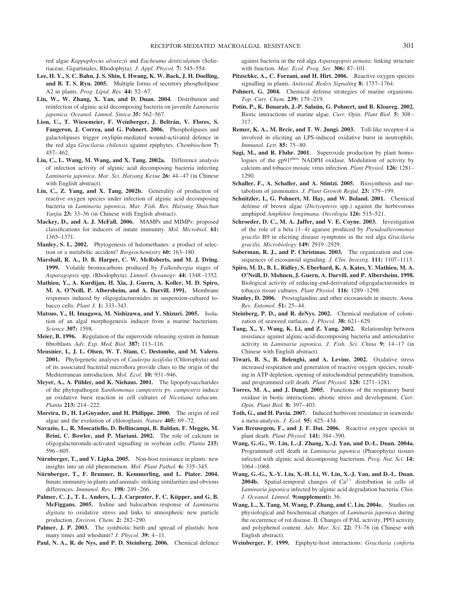red algae *Kappaphycus alvarezii* and *Eucheuma denticulatum* (Solieriaceae, Gigartinales, Rhodophyta). *J. Appl. Phycol.* **7:** 545–554.

- **Lee, H. Y., S. C. Bahn, J. S. Shin, I. Hwang, K. W. Back, J. H. Doelling, and B. T. S. Ryu. 2005.** Multiple forms of secretory phospholipase A2 in plants. *Prog. Lipid. Res.* **44:** 52– 67.
- **Lin, W., W. Zhang, X. Yan, and D. Duan. 2004.** Distribution and reinfection of alginic acid decomposing bacteria on juvenile *Laminaria japonica*. *Oceanol. Limnol. Sinica* **35:** 562–567.
- Lion, U., T. Wiesemeier, F. Weinberger, J. Beltrán, V. Flores, S. **Faugeron, J. Correa, and G. Pohnert. 2006.** Phospholipases and galactolipases trigger oxylipin-mediated wound-activated defence in the red alga *Gracilaria chilensis* against epiphytes. *Chembiochem* **7:** 457– 462.
- **Liu, C., L. Wang, M. Wang, and X. Tang. 2002a.** Difference analysis of infection activity of alginic acid decomposing bacteria infecting *Laminaria japonica*. *Mar. Sci. Haiyang Kexue* **26:** 44 – 47 (in Chinese with English abstract).
- **Liu, C., Z. Yang, and X. Tang. 2002b.** Generality of production of reactive oxygen species under infection of alginic acid decomposing bacteria in *Laminaria japonica*. *Mar. Fish. Res. Haiyang Shuichan Yanjiu* **23:** 33–36 (in Chinese with English abstract).
- **Mackey, D., and A. J. McFall. 2006.** MAMPs and MIMPs: proposed classifications for inducers of innate immunity. *Mol. Microbiol.* **61:** 1365–1371.
- **Manley, S. L. 2002.** Phytogenesis of halomethanes: a product of selection or a metabolic accident? *Biogeochemistry* **60:** 163–180.
- **Marshall, R. A., D. B. Harper, C. W. McRoberts, and M. J. Dring. 1999.** Volatile bromocarbons produced by *Falkenbergia* stages of *Asparagopsis* spp. (Rhodophyta). *Limnol. Oceanogr.* **44:** 1348 –1352.
- **Mathieu, Y., A. Kurdijan, H. Xia, J. Guern, A. Koller, M. D. Spiro, M. A. O'Neill, P. Albersheim, and A. Darvill. 1991.** Membrane responses induced by oligogalacturonides in suspension-cultured tobacco cells. *Plant J.* **1:** 333–343.
- **Matsuo, Y., H. Imagawa, M. Nishizawa, and Y. Shizuri. 2005.** Isolation of an algal morphogenesis inducer from a marine bacterium. *Science* **307:** 1598.
- **Meier, B. 1996.** Regulation of the superoxide releasing system in human fibroblasts. *Adv. Exp. Med. Biol.* **387:** 113–116.
- **Meusnier, I., J. L. Olsen, W. T. Stam, C. Destombe, and M. Valero. 2001.** Phylogenetic analyses of *Caulerpa taxifolia* (Chlorophyta) and of its associated bacterial microflora provide clues to the origin of the Mediterranean introduction. *Mol. Ecol.* **10:** 931–946.
- Meyer, A., A. Pühler, and K. Niehaus. 2001. The lipopolysaccharides of the phytopathogen *Xanthomonas campestris* pv. *campestris* induce an oxidative burst reaction in cell cultures of *Nicotiana tabacum*. *Planta* **213:** 214 –222.
- **Moreira, D., H. LeGuyader, and H. Philippe. 2000.** The origin of red algae and the evolution of chloroplasts. *Nature* **405:** 69 –72.
- **Navazio, L., R. Moscatiello, D. Bellincampi, B. Baldan, F. Meggio, M. Brini, C. Bowler, and P. Mariani. 2002.** The role of calcium in oligogalacturonide-activated signalling in soybean cells. *Planta* **215:**  $596 - 605$ .
- Nürnberger, T., and V. Lipka. 2005. Non-host resistance in plants: new insights into an old phenomenon. *Mol. Plant Pathol.* **6:** 335–345.
- Nürnberger, T., F. Brunner, B. Kemmerling, and L. Piater. 2004. Innate immunity in plants and animals: striking similarities and obvious differences. *Immunol. Rev.* **198:** 249 –266.
- Palmer, C. J., T. L. Anders, L. J. Carpenter, F. C. Küpper, and G. B. **McFiggans. 2005.** Iodine and halocarbon response of *Laminaria digitata* to oxidative stress and links to atmospheric new particle production. *Environ. Chem.* **2:** 282–290.
- Palmer, J. P. 2003. The symbiotic birth and spread of plastids: how many times and whodunit? *J. Phycol.* **39:** 4 –11.

**Paul, N. A., R. de Nys, and P. D. Steinberg. 2006.** Chemical defence

against bacteria in the red alga *Asparagopsis armata*: linking structure with function. *Mar. Ecol. Prog. Ser.* **306:** 87–101.

- Pitzschke, A., C. Forzani, and H. Hirt. 2006. Reactive oxygen species signalling in plants. *Antioxid. Redox Signaling* **8:** 1757–1764.
- Pohnert, G. 2004. Chemical defense strategies of marine organisms. *Top. Curr. Chem.* **239:** 179 –219.
- Potin, P., K. Bouarab, J.-P. Salaün, G. Pohnert, and B. Kloareg. 2002. Biotic interactions of marine algae. *Curr. Opin. Plant Biol.* **5:** 308 – 317.
- **Remer, K. A., M. Brcic, and T. W. Jungi. 2003.** Toll-like receptor-4 is involved in eliciting an LPS-induced oxidative burst in neutrophils. *Immunol. Lett.* **85:** 75– 80.
- **Sagi, M., and R. Fluhr. 2001.** Superoxide production by plant homologues of the gp91<sup>phox</sup> NADPH oxidase. Modulation of activity by calcium and tobacco mosaic virus infection. *Plant Physiol.* **126:** 1281– 1290.
- **Schaller, F., A. Schaller, and A. Stintzi. 2005.** Biosynthesis and metabolism of jasmonates. *J. Plant Growth Regul.* **23:** 179 –199.
- **Schnitzler, I., G. Pohnert, M. Hay, and W. Boland. 2001.** Chemical defense of brown algae (*Dictyopteris* spp.) against the herbivorous amphipod *Amphitoe longimana*. *Oecologia* **126:** 515–521.
- **Schroeder, D. C., M. A. Jaffer, and V. E. Coyne. 2003.** Investigation of the role of a beta (1– 4) agarase produced by *Pseudoalteromonas gracilis* B9 in eliciting disease symptoms in the red alga *Gracilaria gracilis*. *Microbiology* **149:** 2919 –2929.
- **Soberman, R. J., and P. Christmas. 2003.** The organization and consequences of eicosanoid signaling. *J. Clin. Investig.* **111:** 1107–1113.
- **Spiro, M. D., B. L. Ridley, S. Eberhard, K. A. Kates, Y. Mathieu, M. A. O'Neill, D. Mohnen, J. Guern, A. Darvill, and P. Albersheim. 1998.** Biological activity of reducing-end-derivatized oligogalacturonides in tobacco tissue cultures. *Plant Physiol.* **116:** 1289 –1298.
- **Stanley, D. 2006.** Prostaglandins and other eicosanoids in insects. *Annu. Rev. Entomol.* **51:** 25– 44.
- **Steinberg, P. D., and R. deNys. 2002.** Chemical mediation of colonization of seaweed surfaces. *J. Phycol.* 38: 621-629.
- **Tang, X., Y. Wang, K. Li, and Z. Yang. 2002.** Relationship between resistance against alginic-acid-decomposing bacteria and antioxidative activity in *Laminaria japonica*. *J. Fish. Sci. China* **9:** 14 –17 (in Chinese with English abstract).
- **Tiwari, B. S., B. Belenghi, and A. Levine. 2002.** Oxidative stress increased respiration and generation of reactive oxygen species, resulting in ATP depletion, opening of mitochondrial permeability transition, and programmed cell death. *Plant Physiol.* **128:** 1271–1281.
- **Torres, M. A., and J. Dangl. 2005.** Functions of the respiratory burst oxidase in biotic interactions, abiotic stress and development. *Curr. Opin. Plant Biol.* **8:** 397– 403.
- **Toth, G., and H. Pavia. 2007.** Induced herbivore resistance in seaweeds: a meta-analysis. *J. Ecol.* **95:** 425– 434.
- **Van Breusegem, F., and J. F. Dat. 2006.** Reactive oxygen species in plant death. *Plant Physiol.* **141:** 384 –390.
- **Wang, G.-G., W. Lin, L.-J. Zhang, X.-J. Yan, and D.-L. Duan. 2004a.** Programmed cell death in *Laminaria japonica* (Phaeophyta) tissues infected with alginic acid decomposing bacterium. *Prog. Nat. Sci.* **14:** 1064 –1068.
- **Wang, G.-G., X.-Y. Liu, X.-H. Li, W. Lin, X.-J. Yan, and D.-L. Duan. 2004b.** Spatial-temporal changes of  $Ca^{2+}$  distribution in cells of *Laminaria japonica* infected by alginic acid degradation bacteria. *Chin. J. Oceanol. Limnol.* **9(supplement):** 36.
- **Wang, L., X. Tang, M. Wang, P. Zhang, and C. Liu. 2004c.** Studies on physiological and biochemical changes of *Laminaria japonica* during the occurrence of rot disease. II. Changes of PAL activity, PPO activity and polyphenol content. *Adv. Mar. Sci.* **22:** 73–76 (in Chinese with English abstract).
- **Weinberger, F. 1999.** Epiphyte-host interactions: *Gracilaria conferta*